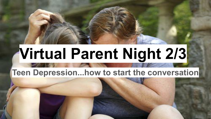# **Virtual Parent Night 2/3**

### **Teen Depression...how to start the conversation**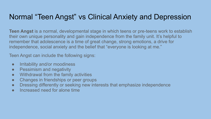#### Normal "Teen Angst" vs Clinical Anxiety and Depression

**Teen Angst** is a normal, developmental stage in which teens or pre-teens work to establish their own unique personality and gain independence from the family unit. It's helpful to remember that adolescence is a time of great change, strong emotions, a drive for independence, social anxiety and the belief that "everyone is looking at me."

Teen Angst can include the following signs:

- Irritability and/or moodiness
- Pessimism and negativity
- Withdrawal from the family activities
- Changes in friendships or peer groups
- Dressing differently or seeking new interests that emphasize independence
- Increased need for alone time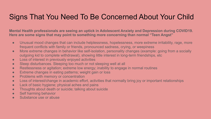#### Signs That You Need To Be Concerned About Your Child

**Mental Health professionals are seeing an uptick in Adolescent Anxiety and Depression during COVID19. Here are some signs that may point to something more concerning than normal "Teen Angst"**

- Unusual mood changes that can include helplessness, hopelessness, more extreme irritability, rage, more frequent conflicts with family or friends, pronounced sadness, crying, or weepiness
- More extreme changes in behavior like self-isolation, personality changes (example: going from a socially outgoing kid to complete withdrawal), showing little interest in long-term friendships, etc
- Loss of interest in previously enjoyed activities
- Sleep disturbances. Sleeping too much or not sleeping well at all
- Restlessness or agitation; extreme low energy; inability to engage in normal routines
- Extreme changes in eating patterns; weight gain or loss
- Problems with memory or concentration
- Loss of interest/change in academic effort, activities that normally bring joy or important relationships
- Lack of basic hygiene; physical aches and pains
- Thoughts about death or suicide; talking about suicide
- Self harming behavior
- Substance use or abuse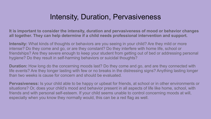#### Intensity, Duration, Pervasiveness

**It is important to consider the intensity, duration and pervasiveness of mood or behavior changes all together. They can help determine if a child needs professional intervention and support.**

**Intensity:** What kinds of thoughts or behaviors are you seeing in your child? Are they mild or more intense? Do they come and go, or are they constant? Do they interfere with home life, school or friendships? Are they severe enough to keep your student from getting out of bed or addressing personal hygiene? Do they result in self-harming behaviors or suicidal thoughts?

**Duration:** How long do the concerning moods last? Do they come and go, and are they connected with life events? Are they longer lasting with few or no breaks in the distressing signs? Anything lasting longer than two weeks is cause for concern and should be evaluated.

**Pervasiveness:** Is your child able to be happy or upbeat for friends, at school or in other environments or situations? Or, does your child's mood and behavior present in all aspects of life like home, school, with friends and with personal self-esteem. If your child seems unable to control concerning moods at will, especially when you know they normally would, this can be a red flag as well.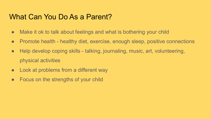#### What Can You Do As a Parent?

- Make it ok to talk about feelings and what is bothering your child
- Promote health healthy diet, exercise, enough sleep, positive connections
- Help develop coping skills talking, journaling, music, art, volunteering, physical activities
- Look at problems from a different way
- Focus on the strengths of your child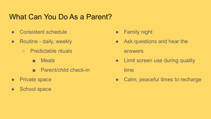#### What Can You Do As a Parent?

- Consistent schedule
- Routine daily, weekly
	- Predictable rituals
		- Meals
		- Parent/child check-in
- Private space
- School space
- Family night
- Ask questions and hear the answers
- Limit screen use during quality time
- Calm, peaceful times to recharge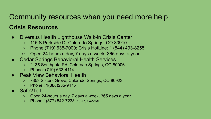## Community resources when you need more help

#### **Crisis Resources**

- Diversus Health Lighthouse Walk-in Crisis Center
	- 115 S.Parkside Dr Colorado Springs, CO 80910
	- Phone (719) 635-7000; Crisis HotLine: 1 (844) 493-8255
	- Open 24-hours a day, 7 days a week, 365 days a year
- Cedar Springs Behavioral Health Services
	- 2135 Southgate Rd, Colorado Springs, CO 80906
	- Phone: (719) 633-4114
- **Peak View Behavioral Health** 
	- 7353 Sisters Grove, Colorado Springs, CO 80923
	- Phone : 1(888)235-9475
- Safe2Tell
	- Open 24-hours a day, 7 days a week, 365 days a year
	- Phone 1(877) 542-7233 [1(877) 542-SAFE]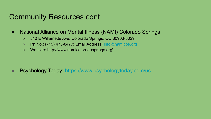#### Community Resources cont

- National Alliance on Mental Illness (NAMI) Colorado Springs
	- 510 E Willamette Ave, Colorado Springs, CO 80903-3029
	- Ph No.: (719) 473-8477; Email Address; [info@namicos.org](mailto:info@namicos.org)
	- Website: http://www.namicoloradosprings.org\

● Psychology Today: <https://www.psychologytoday.com/us>